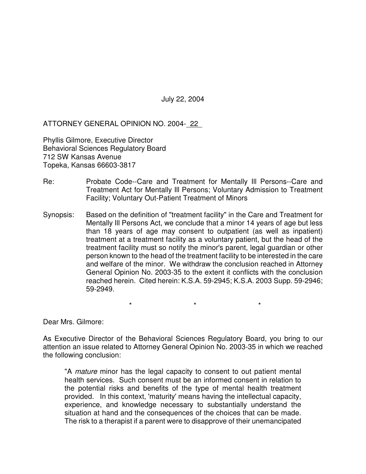July 22, 2004

ATTORNEY GENERAL OPINION NO. 2004- 22

Phyllis Gilmore, Executive Director Behavioral Sciences Regulatory Board 712 SW Kansas Avenue Topeka, Kansas 66603-3817

- Re: Probate Code--Care and Treatment for Mentally Ill Persons--Care and Treatment Act for Mentally Ill Persons; Voluntary Admission to Treatment Facility; Voluntary Out-Patient Treatment of Minors
- Synopsis: Based on the definition of "treatment facility" in the Care and Treatment for Mentally Ill Persons Act, we conclude that a minor 14 years of age but less than 18 years of age may consent to outpatient (as well as inpatient) treatment at a treatment facility as a voluntary patient, but the head of the treatment facility must so notify the minor's parent, legal guardian or other person known to the head of the treatment facility to be interested in the care and welfare of the minor. We withdraw the conclusion reached in Attorney General Opinion No. 2003-35 to the extent it conflicts with the conclusion reached herein. Cited herein: K.S.A. 59-2945; K.S.A. 2003 Supp. 59-2946; 59-2949.

\* \* \*

Dear Mrs. Gilmore:

As Executive Director of the Behavioral Sciences Regulatory Board, you bring to our attention an issue related to Attorney General Opinion No. 2003-35 in which we reached the following conclusion:

"A *mature* minor has the legal capacity to consent to out patient mental health services. Such consent must be an informed consent in relation to the potential risks and benefits of the type of mental health treatment provided. In this context, 'maturity' means having the intellectual capacity, experience, and knowledge necessary to substantially understand the situation at hand and the consequences of the choices that can be made. The risk to a therapist if a parent were to disapprove of their unemancipated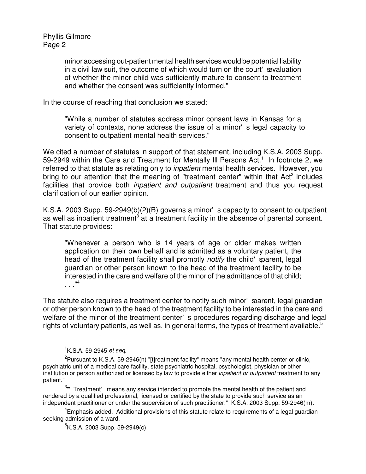Phyllis Gilmore Page 2

> minor accessing out-patient mental health services would be potential liability in a civil law suit, the outcome of which would turn on the court' sevaluation of whether the minor child was sufficiently mature to consent to treatment and whether the consent was sufficiently informed."

In the course of reaching that conclusion we stated:

"While a number of statutes address minor consent laws in Kansas for a variety of contexts, none address the issue of a minor's legal capacity to consent to outpatient mental health services."

We cited a number of statutes in support of that statement, including K.S.A. 2003 Supp. 59-2949 within the Care and Treatment for Mentally III Persons Act.<sup>1</sup> In footnote 2, we referred to that statute as relating only to *inpatient* mental health services. However, you bring to our attention that the meaning of "treatment center" within that Act<sup>2</sup> includes facilities that provide both *inpatient and outpatient* treatment and thus you request clarification of our earlier opinion.

K.S.A. 2003 Supp. 59-2949(b)(2)(B) governs a minor's capacity to consent to outpatient as well as inpatient treatment<sup>3</sup> at a treatment facility in the absence of parental consent. That statute provides:

"Whenever a person who is 14 years of age or older makes written application on their own behalf and is admitted as a voluntary patient, the head of the treatment facility shall promptly *notify* the child' sparent, legal guardian or other person known to the head of the treatment facility to be interested in the care and welfare of the minor of the admittance of that child; . . ." 4

The statute also requires a treatment center to notify such minor' sparent, legal guardian or other person known to the head of the treatment facility to be interested in the care and welfare of the minor of the treatment center's procedures regarding discharge and legal rights of voluntary patients, as well as, in general terms, the types of treatment available. $^5$ 

<sup>1</sup> K.S.A. 59-2945 *et seq*.

<sup>&</sup>lt;sup>2</sup>Pursuant to K.S.A. 59-2946(n) "[t]reatment facility" means "any mental health center or clinic, psychiatric unit of a medical care facility, state psychiatric hospital, psychologist, physician or other institution or person authorized or licensed by law to provide either *inpatient or outpatient* treatment to any patient."

<sup>&</sup>lt;sup>3</sup>" Treatment' means any service intended to promote the mental health of the patient and rendered by a qualified professional, licensed or certified by the state to provide such service as an independent practitioner or under the supervision of such practitioner." K.S.A. 2003 Supp. 59-2946(m).

<sup>&</sup>lt;sup>4</sup>Emphasis added. Additional provisions of this statute relate to requirements of a legal guardian seeking admission of a ward.

<sup>&</sup>lt;sup>5</sup>K.S.A. 2003 Supp. 59-2949(c).